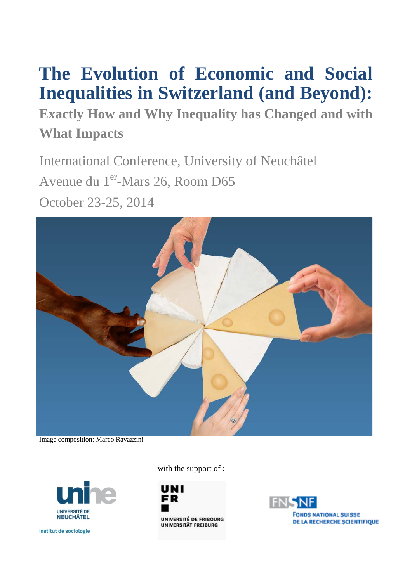# **The Evolution of Economic and Social Inequalities in Switzerland (and Beyond):**

**Exactly How and Why Inequality has Changed and with What Impacts**

International Conference, University of Neuchâtel Avenue du 1<sup>er</sup>-Mars 26, Room D65 October 23-25, 2014



Image composition: Marco Ravazzini



Institut de sociologie

with the support of :



UNIVERSITÉ DE FRIBOURG UNIVERSITÄT FREIBURG

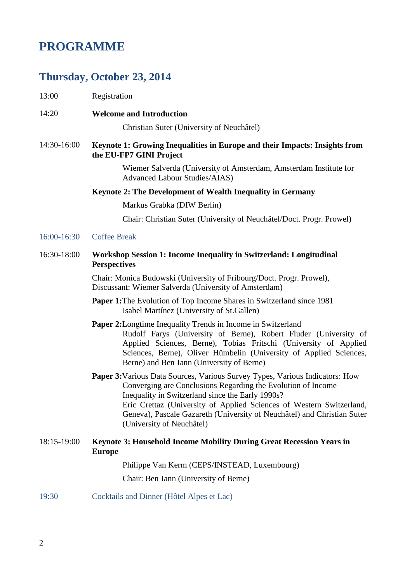## **PROGRAMME**

### **Thursday, October 23, 2014**

- 13:00 Registration
- 14:20 **Welcome and Introduction**

Christian Suter (University of Neuchâtel)

#### 14:30-16:00 **Keynote 1: Growing Inequalities in Europe and their Impacts: Insights from the EU-FP7 GINI Project**

Wiemer Salverda (University of Amsterdam, Amsterdam Institute for Advanced Labour Studies/AIAS)

#### **Keynote 2: The Development of Wealth Inequality in Germany**

Markus Grabka (DIW Berlin)

Chair: Christian Suter (University of Neuchâtel/Doct. Progr. Prowel)

#### 16:00-16:30 Coffee Break

#### 16:30-18:00 **Workshop Session 1: Income Inequality in Switzerland: Longitudinal Perspectives**

Chair: Monica Budowski (University of Fribourg/Doct. Progr. Prowel), Discussant: Wiemer Salverda (University of Amsterdam)

- **Paper 1:**The Evolution of Top Income Shares in Switzerland since 1981 Isabel Martínez (University of St.Gallen)
- **Paper 2:** Longtime Inequality Trends in Income in Switzerland Rudolf Farys (University of Berne), Robert Fluder (University of Applied Sciences, Berne), Tobias Fritschi (University of Applied Sciences, Berne), Oliver Hümbelin (University of Applied Sciences, Berne) and Ben Jann (University of Berne)
- **Paper 3:**Various Data Sources, Various Survey Types, Various Indicators: How Converging are Conclusions Regarding the Evolution of Income Inequality in Switzerland since the Early 1990s? Eric Crettaz (University of Applied Sciences of Western Switzerland, Geneva), Pascale Gazareth (University of Neuchâtel) and Christian Suter (University of Neuchâtel)
- 18:15-19:00 **Keynote 3: Household Income Mobility During Great Recession Years in Europe**

Philippe Van Kerm (CEPS/INSTEAD, Luxembourg)

Chair: Ben Jann (University of Berne)

19:30 Cocktails and Dinner (Hôtel Alpes et Lac)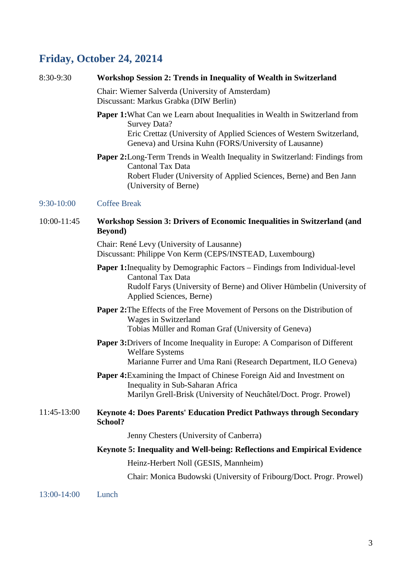# **Friday, October 24, 20214**

| 8:30-9:30   | Workshop Session 2: Trends in Inequality of Wealth in Switzerland                                                                                                                                                                          |  |  |
|-------------|--------------------------------------------------------------------------------------------------------------------------------------------------------------------------------------------------------------------------------------------|--|--|
|             | Chair: Wiemer Salverda (University of Amsterdam)<br>Discussant: Markus Grabka (DIW Berlin)                                                                                                                                                 |  |  |
|             | <b>Paper 1:</b> What Can we Learn about Inequalities in Wealth in Switzerland from<br><b>Survey Data?</b><br>Eric Crettaz (University of Applied Sciences of Western Switzerland,<br>Geneva) and Ursina Kuhn (FORS/University of Lausanne) |  |  |
|             | Paper 2: Long-Term Trends in Wealth Inequality in Switzerland: Findings from<br><b>Cantonal Tax Data</b><br>Robert Fluder (University of Applied Sciences, Berne) and Ben Jann<br>(University of Berne)                                    |  |  |
| 9:30-10:00  | <b>Coffee Break</b>                                                                                                                                                                                                                        |  |  |
| 10:00-11:45 | Workshop Session 3: Drivers of Economic Inequalities in Switzerland (and<br><b>Beyond</b> )                                                                                                                                                |  |  |
|             | Chair: René Levy (University of Lausanne)<br>Discussant: Philippe Von Kerm (CEPS/INSTEAD, Luxembourg)                                                                                                                                      |  |  |
|             | <b>Paper 1:</b> Inequality by Demographic Factors – Findings from Individual-level<br><b>Cantonal Tax Data</b><br>Rudolf Farys (University of Berne) and Oliver Hümbelin (University of<br>Applied Sciences, Berne)                        |  |  |
|             | <b>Paper 2:</b> The Effects of the Free Movement of Persons on the Distribution of<br>Wages in Switzerland<br>Tobias Müller and Roman Graf (University of Geneva)                                                                          |  |  |
|             | <b>Paper 3:</b> Drivers of Income Inequality in Europe: A Comparison of Different<br><b>Welfare Systems</b><br>Marianne Furrer and Uma Rani (Research Department, ILO Geneva)                                                              |  |  |
|             | Paper 4: Examining the Impact of Chinese Foreign Aid and Investment on<br>Inequality in Sub-Saharan Africa<br>Marilyn Grell-Brisk (University of Neuchâtel/Doct. Progr. Prowel)                                                            |  |  |
| 11:45-13:00 | Keynote 4: Does Parents' Education Predict Pathways through Secondary<br>School?                                                                                                                                                           |  |  |
|             | Jenny Chesters (University of Canberra)                                                                                                                                                                                                    |  |  |
|             | Keynote 5: Inequality and Well-being: Reflections and Empirical Evidence                                                                                                                                                                   |  |  |
|             | Heinz-Herbert Noll (GESIS, Mannheim)                                                                                                                                                                                                       |  |  |
|             | Chair: Monica Budowski (University of Fribourg/Doct. Progr. Prowel)                                                                                                                                                                        |  |  |
| 13:00-14:00 | Lunch                                                                                                                                                                                                                                      |  |  |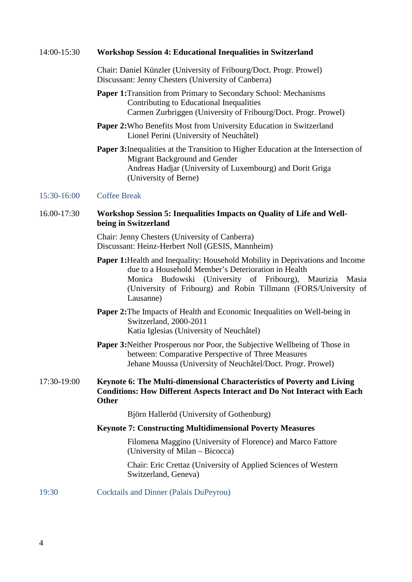| 14:00-15:30 |  |  | <b>Workshop Session 4: Educational Inequalities in Switzerland</b> |
|-------------|--|--|--------------------------------------------------------------------|
|-------------|--|--|--------------------------------------------------------------------|

Chair: Daniel Künzler (University of Fribourg/Doct. Progr. Prowel) Discussant: Jenny Chesters (University of Canberra)

- **Paper 1:**Transition from Primary to Secondary School: Mechanisms Contributing to Educational Inequalities Carmen Zurbriggen (University of Fribourg/Doct. Progr. Prowel)
- **Paper 2:**Who Benefits Most from University Education in Switzerland Lionel Perini (University of Neuchâtel)
- **Paper 3:**Inequalities at the Transition to Higher Education at the Intersection of Migrant Background and Gender Andreas Hadjar (University of Luxembourg) and Dorit Griga (University of Berne)

#### 15:30-16:00 Coffee Break

#### 16.00-17:30 **Workshop Session 5: Inequalities Impacts on Quality of Life and Wellbeing in Switzerland**

Chair: Jenny Chesters (University of Canberra) Discussant: Heinz-Herbert Noll (GESIS, Mannheim)

- **Paper 1:**Health and Inequality: Household Mobility in Deprivations and Income due to a Household Member's Deterioration in Health Monica Budowski (University of Fribourg), Maurizia Masia (University of Fribourg) and Robin Tillmann (FORS/University of Lausanne)
- **Paper 2:**The Impacts of Health and Economic Inequalities on Well-being in Switzerland, 2000-2011 Katia Iglesias (University of Neuchâtel)
- **Paper 3:**Neither Prosperous nor Poor, the Subjective Wellbeing of Those in between: Comparative Perspective of Three Measures Jehane Moussa (University of Neuchâtel/Doct. Progr. Prowel)

#### 17:30-19:00 **Keynote 6: The Multi-dimensional Characteristics of Poverty and Living Conditions: How Different Aspects Interact and Do Not Interact with Each Other**

Björn Halleröd (University of Gothenburg)

#### **Keynote 7: Constructing Multidimensional Poverty Measures**

Filomena Maggino (University of Florence) and Marco Fattore (University of Milan – Bicocca)

Chair: Eric Crettaz (University of Applied Sciences of Western Switzerland, Geneva)

19:30 Cocktails and Dinner (Palais DuPeyrou)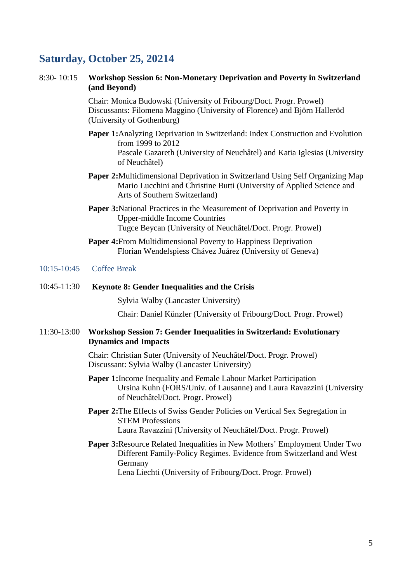### **Saturday, October 25, 20214**

#### 8:30- 10:15 **Workshop Session 6: Non-Monetary Deprivation and Poverty in Switzerland (and Beyond)**

Chair: Monica Budowski (University of Fribourg/Doct. Progr. Prowel) Discussants: Filomena Maggino (University of Florence) and Björn Halleröd (University of Gothenburg)

- **Paper 1:**Analyzing Deprivation in Switzerland: Index Construction and Evolution from 1999 to 2012 Pascale Gazareth (University of Neuchâtel) and Katia Iglesias (University of Neuchâtel)
- **Paper 2:**Multidimensional Deprivation in Switzerland Using Self Organizing Map Mario Lucchini and Christine Butti (University of Applied Science and Arts of Southern Switzerland)
- **Paper 3:**National Practices in the Measurement of Deprivation and Poverty in Upper-middle Income Countries Tugce Beycan (University of Neuchâtel/Doct. Progr. Prowel)
- **Paper 4:**From Multidimensional Poverty to Happiness Deprivation Florian Wendelspiess Chávez Juárez (University of Geneva)

#### 10:15-10:45 Coffee Break

#### 10:45-11:30 **Keynote 8: Gender Inequalities and the Crisis**

Sylvia Walby (Lancaster University)

Chair: Daniel Künzler (University of Fribourg/Doct. Progr. Prowel)

#### 11:30-13:00 **Workshop Session 7: Gender Inequalities in Switzerland: Evolutionary Dynamics and Impacts**

Chair: Christian Suter (University of Neuchâtel/Doct. Progr. Prowel) Discussant: Sylvia Walby (Lancaster University)

- **Paper 1:**Income Inequality and Female Labour Market Participation Ursina Kuhn (FORS/Univ. of Lausanne) and Laura Ravazzini (University of Neuchâtel/Doct. Progr. Prowel)
- Paper 2: The Effects of Swiss Gender Policies on Vertical Sex Segregation in STEM Professions Laura Ravazzini (University of Neuchâtel/Doct. Progr. Prowel)
- **Paper 3:**Resource Related Inequalities in New Mothers' Employment Under Two Different Family-Policy Regimes. Evidence from Switzerland and West Germany Lena Liechti (University of Fribourg/Doct. Progr. Prowel)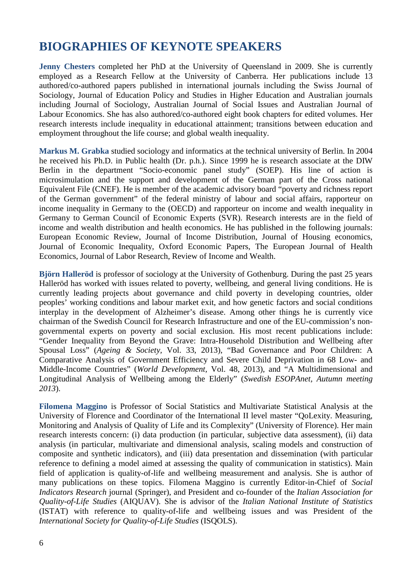# **BIOGRAPHIES OF KEYNOTE SPEAKERS**

**Jenny Chesters** completed her PhD at the University of Queensland in 2009. She is currently employed as a Research Fellow at the University of Canberra. Her publications include 13 authored/co-authored papers published in international journals including the Swiss Journal of Sociology, Journal of Education Policy and Studies in Higher Education and Australian journals including Journal of Sociology, Australian Journal of Social Issues and Australian Journal of Labour Economics. She has also authored/co-authored eight book chapters for edited volumes. Her research interests include inequality in educational attainment; transitions between education and employment throughout the life course; and global wealth inequality.

**Markus M. Grabka** studied sociology and informatics at the technical university of Berlin. In 2004 he received his Ph.D. in Public health (Dr. p.h.). Since 1999 he is research associate at the DIW Berlin in the department "Socio-economic panel study" (SOEP). His line of action is microsimulation and the support and development of the German part of the Cross national Equivalent File (CNEF). He is member of the academic advisory board "poverty and richness report of the German government" of the federal ministry of labour and social affairs, rapporteur on income inequality in Germany to the (OECD) and rapporteur on income and wealth inequality in Germany to German Council of Economic Experts (SVR). Research interests are in the field of income and wealth distribution and health economics. He has published in the following journals: European Economic Review, Journal of Income Distribution, Journal of Housing economics, Journal of Economic Inequality, Oxford Economic Papers, The European Journal of Health Economics, Journal of Labor Research, Review of Income and Wealth.

**Björn Halleröd** is professor of sociology at the University of Gothenburg. During the past 25 years Halleröd has worked with issues related to poverty, wellbeing, and general living conditions. He is currently leading projects about governance and child poverty in developing countries, older peoples' working conditions and labour market exit, and how genetic factors and social conditions interplay in the development of Alzheimer's disease. Among other things he is currently vice chairman of the Swedish Council for Research Infrastructure and one of the EU-commission's nongovernmental experts on poverty and social exclusion. His most recent publications include: "Gender Inequality from Beyond the Grave: Intra-Household Distribution and Wellbeing after Spousal Loss" (*Ageing & Society,* Vol. 33, 2013), "Bad Governance and Poor Children: A Comparative Analysis of Government Efficiency and Severe Child Deprivation in 68 Low- and Middle-Income Countries" (*World Development,* Vol. 48, 2013), and "A Multidimensional and Longitudinal Analysis of Wellbeing among the Elderly" (*Swedish ESOPAnet, Autumn meeting 2013*).

**Filomena Maggino** is Professor of Social Statistics and Multivariate Statistical Analysis at the University of Florence and Coordinator of the International II level master "QoLexity. Measuring, Monitoring and Analysis of Quality of Life and its Complexity" (University of Florence). Her main research interests concern: (i) data production (in particular, subjective data assessment), (ii) data analysis (in particular, multivariate and dimensional analysis, scaling models and construction of composite and synthetic indicators), and (iii) data presentation and dissemination (with particular reference to defining a model aimed at assessing the quality of communication in statistics). Main field of application is quality-of-life and wellbeing measurement and analysis. She is author of many publications on these topics. Filomena Maggino is currently Editor-in-Chief of *Social Indicators Research* journal (Springer), and President and co-founder of the *Italian Association for Quality-of-Life Studies* (AIQUAV). She is advisor of the *Italian National Institute of Statistics* (ISTAT) with reference to quality-of-life and wellbeing issues and was President of the *International Society for Quality-of-Life Studies* (ISQOLS).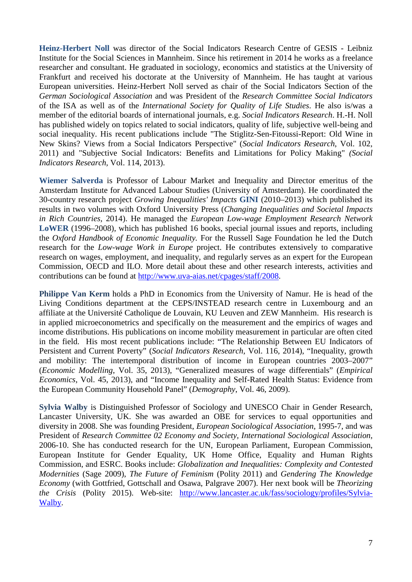**Heinz-Herbert Noll** was director of the Social Indicators Research Centre of GESIS - Leibniz Institute for the Social Sciences in Mannheim. Since his retirement in 2014 he works as a freelance researcher and consultant. He graduated in sociology, economics and statistics at the University of Frankfurt and received his doctorate at the University of Mannheim. He has taught at various European universities. Heinz-Herbert Noll served as chair of the Social Indicators Section of the *German Sociological Association* and was President of the *Research Committee Social Indicators* of the ISA as well as of the *International Society for Quality of Life Studies*. He also is/was a member of the editorial boards of international journals, e.g. *Social Indicators Research*. H.-H. Noll has published widely on topics related to social indicators, quality of life, subjective well-being and social inequality. His recent publications include "The Stiglitz-Sen-Fitoussi-Report: Old Wine in New Skins? Views from a Social Indicators Perspective" (*Social Indicators Research*, Vol. 102, 2011) and "Subjective Social Indicators: Benefits and Limitations for Policy Making" *(Social Indicators Research,* Vol. 114, 2013).

**Wiemer Salverda** is Professor of Labour Market and Inequality and Director emeritus of the Amsterdam Institute for Advanced Labour Studies (University of Amsterdam). He coordinated the 30-country research project *Growing Inequalities' Impacts* **GINI** (2010–2013) which published its results in two volumes with Oxford University Press (*Changing Inequalities and Societal Impacts in Rich Countries,* 2014). He managed the *European Low-wage Employment Research Network* **LoWER** (1996–2008), which has published 16 books, special journal issues and reports, including the *Oxford Handbook of Economic Inequality.* For the Russell Sage Foundation he led the Dutch research for the *Low-wage Work in Europe* project. He contributes extensively to comparative research on wages, employment, and inequality, and regularly serves as an expert for the European Commission, OECD and ILO. More detail about these and other research interests, activities and contributions can be found at [http://www.uva-aias.net/cpages/staff/2008.](http://www.uva-aias.net/cpages/staff/2008?controler=cpages&lang=en)

**Philippe Van Kerm** holds a PhD in Economics from the University of Namur. He is head of the Living Conditions department at the CEPS/INSTEAD research centre in Luxembourg and an affiliate at the Université Catholique de Louvain, KU Leuven and ZEW Mannheim. His research is in applied microeconometrics and specifically on the measurement and the empirics of wages and income distributions. His publications on income mobility measurement in particular are often cited in the field. His most recent publications include: "The Relationship Between EU Indicators of Persistent and Current Poverty" (*Social Indicators Research*, Vol. 116, 2014), "Inequality, growth and mobility: The intertemporal distribution of income in European countries 2003–2007" (*Economic Modelling*, Vol. 35, 2013), "Generalized measures of wage differentials" (*Empirical Economics*, Vol. 45, 2013), and "Income Inequality and Self-Rated Health Status: Evidence from the European Community Household Panel" (*Demography*, Vol. 46, 2009).

**Sylvia Walby** is Distinguished Professor of Sociology and UNESCO Chair in Gender Research, Lancaster University, UK. She was awarded an OBE for services to equal opportunities and diversity in 2008. She was founding President, *European Sociological Association*, 1995-7, and was President of *Research Committee 02 Economy and Society, International Sociological Association*, 2006-10. She has conducted research for the UN, European Parliament, European Commission, European Institute for Gender Equality, UK Home Office, Equality and Human Rights Commission, and ESRC. Books include: *Globalization and Inequalities: Complexity and Contested Modernities* (Sage 2009), *The Future of Feminism* (Polity 2011) and *Gendering The Knowledge Economy* (with Gottfried, Gottschall and Osawa, Palgrave 2007). Her next book will be *Theorizing the Crisis* (Polity 2015). Web-site: [http://www.lancaster.ac.uk/fass/sociology/profiles/Sylvia-](http://www.lancaster.ac.uk/fass/sociology/profiles/Sylvia-Walby)[Walby.](http://www.lancaster.ac.uk/fass/sociology/profiles/Sylvia-Walby)